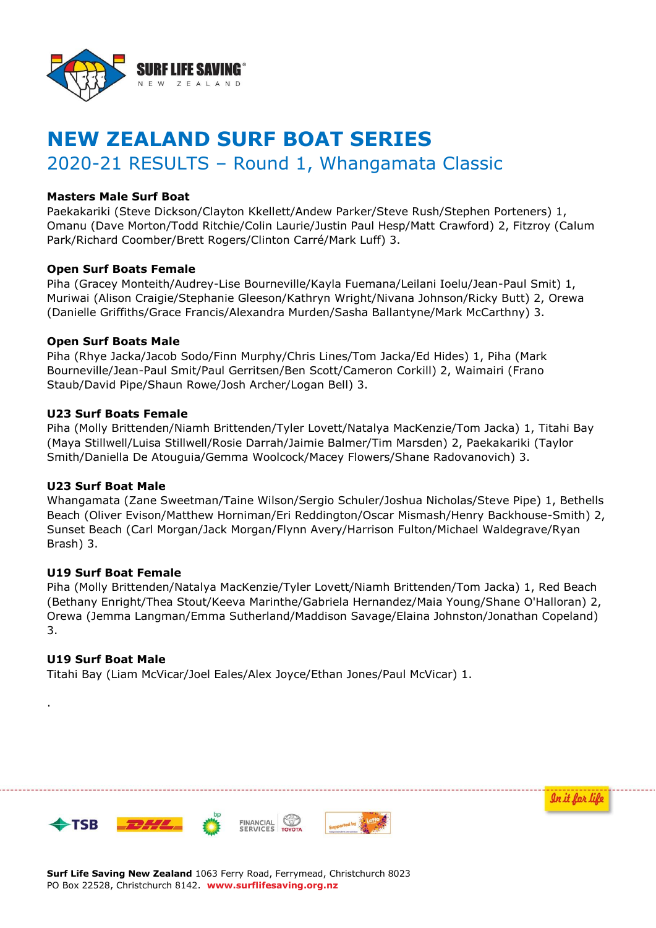

# **NEW ZEALAND SURF BOAT SERIES**

# 2020-21 RESULTS – Round 1, Whangamata Classic

### **Masters Male Surf Boat**

Paekakariki (Steve Dickson/Clayton Kkellett/Andew Parker/Steve Rush/Stephen Porteners) 1, Omanu (Dave Morton/Todd Ritchie/Colin Laurie/Justin Paul Hesp/Matt Crawford) 2, Fitzroy (Calum Park/Richard Coomber/Brett Rogers/Clinton Carré/Mark Luff) 3.

#### **Open Surf Boats Female**

Piha (Gracey Monteith/Audrey-Lise Bourneville/Kayla Fuemana/Leilani Ioelu/Jean-Paul Smit) 1, Muriwai (Alison Craigie/Stephanie Gleeson/Kathryn Wright/Nivana Johnson/Ricky Butt) 2, Orewa (Danielle Griffiths/Grace Francis/Alexandra Murden/Sasha Ballantyne/Mark McCarthny) 3.

#### **Open Surf Boats Male**

Piha (Rhye Jacka/Jacob Sodo/Finn Murphy/Chris Lines/Tom Jacka/Ed Hides) 1, Piha (Mark Bourneville/Jean-Paul Smit/Paul Gerritsen/Ben Scott/Cameron Corkill) 2, Waimairi (Frano Staub/David Pipe/Shaun Rowe/Josh Archer/Logan Bell) 3.

#### **U23 Surf Boats Female**

Piha (Molly Brittenden/Niamh Brittenden/Tyler Lovett/Natalya MacKenzie/Tom Jacka) 1, Titahi Bay (Maya Stillwell/Luisa Stillwell/Rosie Darrah/Jaimie Balmer/Tim Marsden) 2, Paekakariki (Taylor Smith/Daniella De Atouguia/Gemma Woolcock/Macey Flowers/Shane Radovanovich) 3.

## **U23 Surf Boat Male**

Whangamata (Zane Sweetman/Taine Wilson/Sergio Schuler/Joshua Nicholas/Steve Pipe) 1, Bethells Beach (Oliver Evison/Matthew Horniman/Eri Reddington/Oscar Mismash/Henry Backhouse-Smith) 2, Sunset Beach (Carl Morgan/Jack Morgan/Flynn Avery/Harrison Fulton/Michael Waldegrave/Ryan Brash) 3.

## **U19 Surf Boat Female**

Piha (Molly Brittenden/Natalya MacKenzie/Tyler Lovett/Niamh Brittenden/Tom Jacka) 1, Red Beach (Bethany Enright/Thea Stout/Keeva Marinthe/Gabriela Hernandez/Maia Young/Shane O'Halloran) 2, Orewa (Jemma Langman/Emma Sutherland/Maddison Savage/Elaina Johnston/Jonathan Copeland) 3.

#### **U19 Surf Boat Male**

.

 $\bigleftarrow$ TSB

Titahi Bay (Liam McVicar/Joel Eales/Alex Joyce/Ethan Jones/Paul McVicar) 1.



**Surf Life Saving New Zealand** 1063 Ferry Road, Ferrymead, Christchurch 8023

PO Box 22528, Christchurch 8142. **www.surflifesaving.org.nz**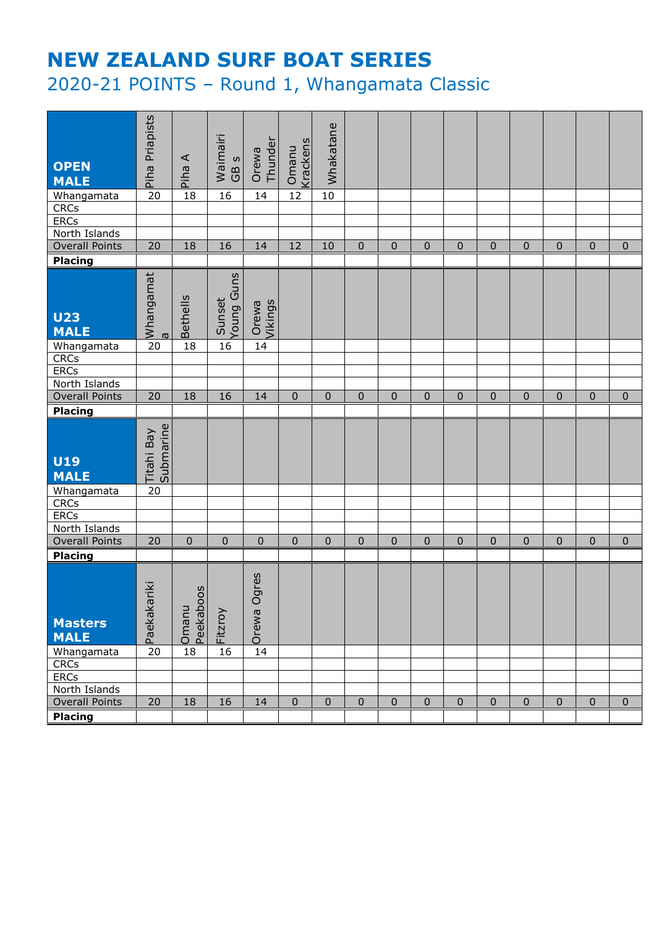# **NEW ZEALAND SURF BOAT SERIES** 2020-21 POINTS – Round 1, Whangamata Classic

| <b>OPEN</b><br><b>MALE</b>    | Piha Priapists          | $\prec$<br>Piha | Waimairi<br>GB <sub>S</sub> | Thunder<br>Orewa | Krackens<br>Omanu | Whakatane    |              |              |              |             |             |             |             |             |              |
|-------------------------------|-------------------------|-----------------|-----------------------------|------------------|-------------------|--------------|--------------|--------------|--------------|-------------|-------------|-------------|-------------|-------------|--------------|
| Whangamata                    | $\overline{20}$         | 18              | $\overline{16}$             | 14               | $\overline{12}$   | 10           |              |              |              |             |             |             |             |             |              |
| CRCs                          |                         |                 |                             |                  |                   |              |              |              |              |             |             |             |             |             |              |
| <b>ERCs</b>                   |                         |                 |                             |                  |                   |              |              |              |              |             |             |             |             |             |              |
| North Islands                 |                         |                 |                             |                  |                   |              |              |              |              |             |             |             |             |             |              |
| <b>Overall Points</b>         | 20                      | 18              | 16                          | 14               | 12                | 10           | $\mathbf 0$  | $\mathbf 0$  | $\mathbf 0$  | 0           | $\pmb{0}$   | $\pmb{0}$   | $\mathbf 0$ | $\mathbf 0$ | $\mathbf 0$  |
| Placing                       |                         |                 |                             |                  |                   |              |              |              |              |             |             |             |             |             |              |
| <b>U23</b><br><b>MALE</b>     | Whangamat<br>$\sigma$   | <b>Bethells</b> | Young Guns<br>Sunset        | Orewa<br>Vikings |                   |              |              |              |              |             |             |             |             |             |              |
| Whangamata                    | $\overline{20}$         | 18              | 16                          | 14               |                   |              |              |              |              |             |             |             |             |             |              |
| <b>CRCs</b>                   |                         |                 |                             |                  |                   |              |              |              |              |             |             |             |             |             |              |
| ERCs<br>North Islands         |                         |                 |                             |                  |                   |              |              |              |              |             |             |             |             |             |              |
| <b>Overall Points</b>         | 20                      | 18              | 16                          | 14               | $\pmb{0}$         | $\mathbf 0$  | $\mathbf{0}$ | $\pmb{0}$    | $\mathbf{0}$ | $\mathbf 0$ | $\pmb{0}$   | $\pmb{0}$   | $\pmb{0}$   | $\pmb{0}$   | $\mathbf{0}$ |
| Placing                       |                         |                 |                             |                  |                   |              |              |              |              |             |             |             |             |             |              |
| <b>U19</b><br><b>MALE</b>     | Titahi Bay<br>Submarine |                 |                             |                  |                   |              |              |              |              |             |             |             |             |             |              |
|                               |                         |                 |                             |                  |                   |              |              |              |              |             |             |             |             |             |              |
|                               | $\overline{20}$         |                 |                             |                  |                   |              |              |              |              |             |             |             |             |             |              |
| Whangamata<br><b>CRCs</b>     |                         |                 |                             |                  |                   |              |              |              |              |             |             |             |             |             |              |
| <b>ERCs</b>                   |                         |                 |                             |                  |                   |              |              |              |              |             |             |             |             |             |              |
| North Islands                 |                         |                 |                             |                  |                   |              |              |              |              |             |             |             |             |             |              |
| <b>Overall Points</b>         | 20                      | $\mathbf{0}$    | $\pmb{0}$                   | $\mathbf 0$      | 0                 | $\mathbf{0}$ | $\mathbf{0}$ | $\mathbf{0}$ | $\mathbf 0$  | $\pmb{0}$   | $\mathbf 0$ | 0           | $\mathbf 0$ | $\mathbf 0$ | $\mathbf{0}$ |
| <b>Placing</b>                |                         |                 |                             |                  |                   |              |              |              |              |             |             |             |             |             |              |
| <b>Masters</b><br><b>MALE</b> | Paekakariki             | 005<br>Omanu    | Fitzroy                     | Ogres            |                   |              |              |              |              |             |             |             |             |             |              |
| Whangamata                    | 20                      | Peekabo<br>18   | 16                          | Orewa<br>14      |                   |              |              |              |              |             |             |             |             |             |              |
| <b>CRCs</b>                   |                         |                 |                             |                  |                   |              |              |              |              |             |             |             |             |             |              |
| <b>ERCs</b>                   |                         |                 |                             |                  |                   |              |              |              |              |             |             |             |             |             |              |
| North Islands                 |                         |                 |                             |                  |                   |              |              |              |              |             |             |             |             |             |              |
| <b>Overall Points</b>         | 20                      | 18              | 16                          | 14               | $\overline{0}$    | $\mathbf 0$  | $\mathbf 0$  | $\mathbf 0$  | $\mathbf 0$  | $\mathbf 0$ | $\pmb{0}$   | $\mathbf 0$ | $\mathbf 0$ | $\mathbf 0$ | $\mathbf{0}$ |